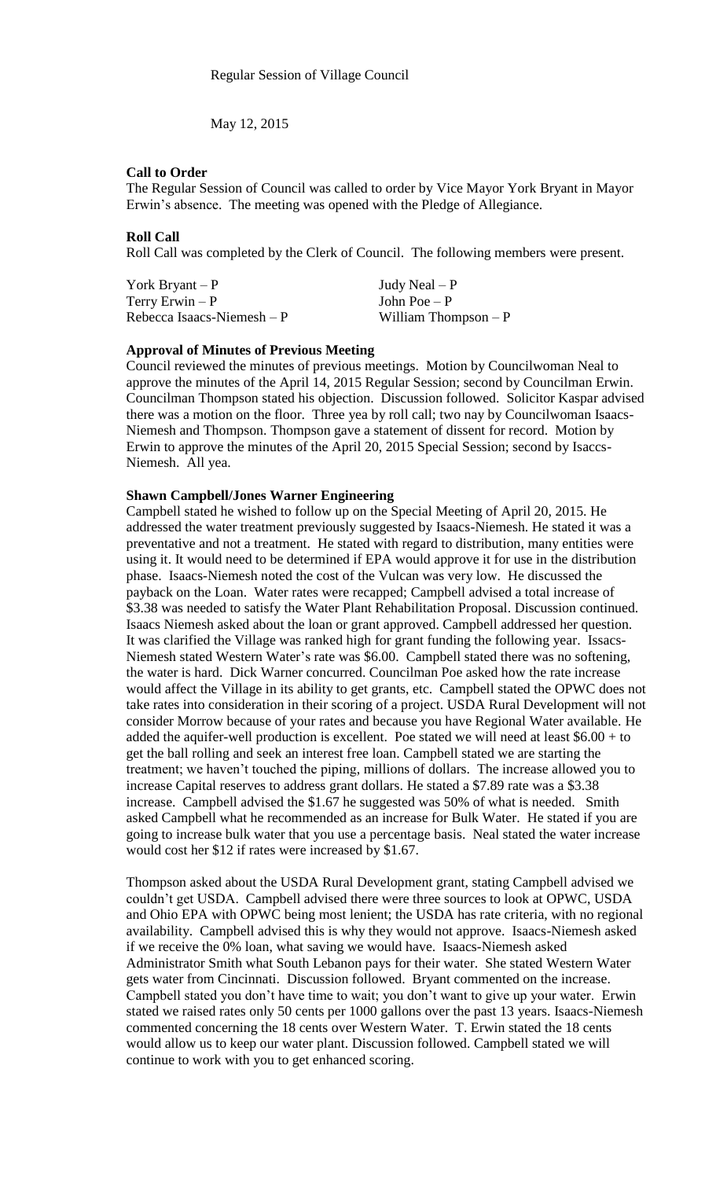May 12, 2015

## **Call to Order**

The Regular Session of Council was called to order by Vice Mayor York Bryant in Mayor Erwin's absence. The meeting was opened with the Pledge of Allegiance.

## **Roll Call**

Roll Call was completed by the Clerk of Council. The following members were present.

York Bryant – P  $Judy$  Neal – P  $Terry Erwin - P$  John Poe – P  $Rebecca Isaacs-Niemesh - P$  William Thompson – P

### **Approval of Minutes of Previous Meeting**

Council reviewed the minutes of previous meetings. Motion by Councilwoman Neal to approve the minutes of the April 14, 2015 Regular Session; second by Councilman Erwin. Councilman Thompson stated his objection. Discussion followed. Solicitor Kaspar advised there was a motion on the floor. Three yea by roll call; two nay by Councilwoman Isaacs-Niemesh and Thompson. Thompson gave a statement of dissent for record. Motion by Erwin to approve the minutes of the April 20, 2015 Special Session; second by Isaccs-Niemesh. All yea.

# **Shawn Campbell/Jones Warner Engineering**

Campbell stated he wished to follow up on the Special Meeting of April 20, 2015. He addressed the water treatment previously suggested by Isaacs-Niemesh. He stated it was a preventative and not a treatment. He stated with regard to distribution, many entities were using it. It would need to be determined if EPA would approve it for use in the distribution phase. Isaacs-Niemesh noted the cost of the Vulcan was very low. He discussed the payback on the Loan. Water rates were recapped; Campbell advised a total increase of \$3.38 was needed to satisfy the Water Plant Rehabilitation Proposal. Discussion continued. Isaacs Niemesh asked about the loan or grant approved. Campbell addressed her question. It was clarified the Village was ranked high for grant funding the following year. Issacs-Niemesh stated Western Water's rate was \$6.00. Campbell stated there was no softening, the water is hard. Dick Warner concurred. Councilman Poe asked how the rate increase would affect the Village in its ability to get grants, etc. Campbell stated the OPWC does not take rates into consideration in their scoring of a project. USDA Rural Development will not consider Morrow because of your rates and because you have Regional Water available. He added the aquifer-well production is excellent. Poe stated we will need at least \$6.00 + to get the ball rolling and seek an interest free loan. Campbell stated we are starting the treatment; we haven't touched the piping, millions of dollars. The increase allowed you to increase Capital reserves to address grant dollars. He stated a \$7.89 rate was a \$3.38 increase. Campbell advised the \$1.67 he suggested was 50% of what is needed. Smith asked Campbell what he recommended as an increase for Bulk Water. He stated if you are going to increase bulk water that you use a percentage basis. Neal stated the water increase would cost her \$12 if rates were increased by \$1.67.

Thompson asked about the USDA Rural Development grant, stating Campbell advised we couldn't get USDA. Campbell advised there were three sources to look at OPWC, USDA and Ohio EPA with OPWC being most lenient; the USDA has rate criteria, with no regional availability. Campbell advised this is why they would not approve. Isaacs-Niemesh asked if we receive the 0% loan, what saving we would have. Isaacs-Niemesh asked Administrator Smith what South Lebanon pays for their water. She stated Western Water gets water from Cincinnati. Discussion followed. Bryant commented on the increase. Campbell stated you don't have time to wait; you don't want to give up your water. Erwin stated we raised rates only 50 cents per 1000 gallons over the past 13 years. Isaacs-Niemesh commented concerning the 18 cents over Western Water. T. Erwin stated the 18 cents would allow us to keep our water plant. Discussion followed. Campbell stated we will continue to work with you to get enhanced scoring.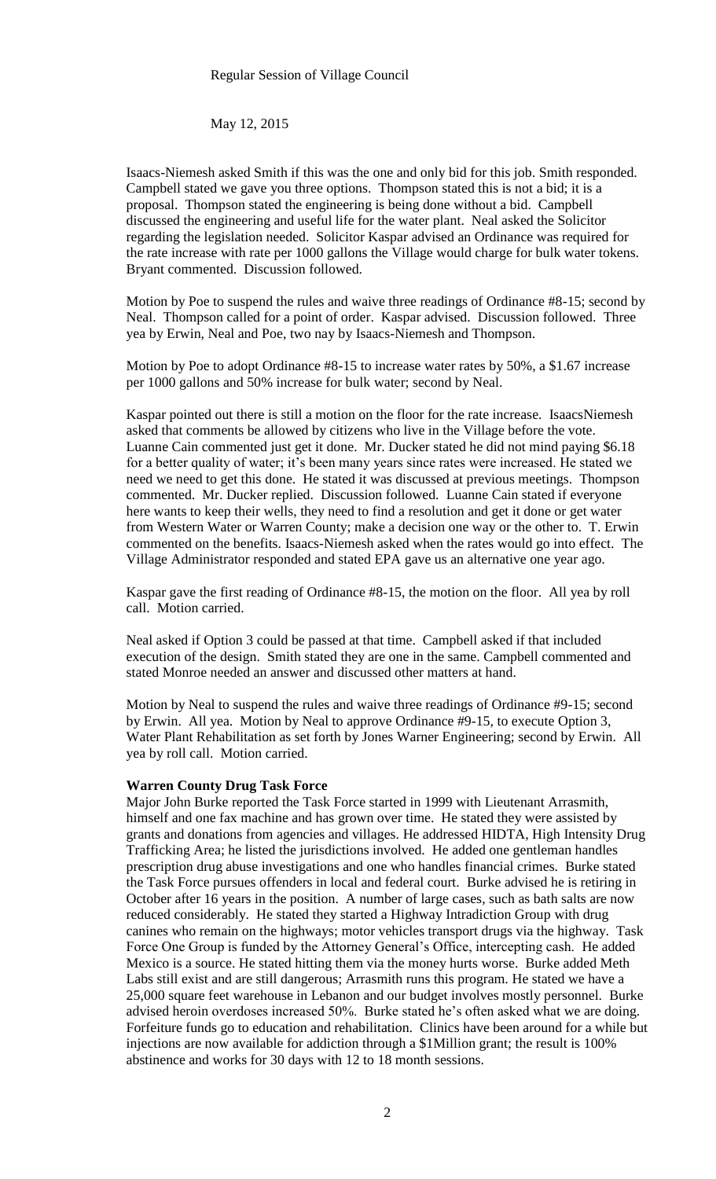May 12, 2015

Isaacs-Niemesh asked Smith if this was the one and only bid for this job. Smith responded. Campbell stated we gave you three options. Thompson stated this is not a bid; it is a proposal. Thompson stated the engineering is being done without a bid. Campbell discussed the engineering and useful life for the water plant. Neal asked the Solicitor regarding the legislation needed. Solicitor Kaspar advised an Ordinance was required for the rate increase with rate per 1000 gallons the Village would charge for bulk water tokens. Bryant commented. Discussion followed.

Motion by Poe to suspend the rules and waive three readings of Ordinance #8-15; second by Neal. Thompson called for a point of order. Kaspar advised. Discussion followed. Three yea by Erwin, Neal and Poe, two nay by Isaacs-Niemesh and Thompson.

Motion by Poe to adopt Ordinance #8-15 to increase water rates by 50%, a \$1.67 increase per 1000 gallons and 50% increase for bulk water; second by Neal.

Kaspar pointed out there is still a motion on the floor for the rate increase. IsaacsNiemesh asked that comments be allowed by citizens who live in the Village before the vote. Luanne Cain commented just get it done. Mr. Ducker stated he did not mind paying \$6.18 for a better quality of water; it's been many years since rates were increased. He stated we need we need to get this done. He stated it was discussed at previous meetings. Thompson commented. Mr. Ducker replied. Discussion followed. Luanne Cain stated if everyone here wants to keep their wells, they need to find a resolution and get it done or get water from Western Water or Warren County; make a decision one way or the other to. T. Erwin commented on the benefits. Isaacs-Niemesh asked when the rates would go into effect. The Village Administrator responded and stated EPA gave us an alternative one year ago.

Kaspar gave the first reading of Ordinance #8-15, the motion on the floor. All yea by roll call. Motion carried.

Neal asked if Option 3 could be passed at that time. Campbell asked if that included execution of the design. Smith stated they are one in the same. Campbell commented and stated Monroe needed an answer and discussed other matters at hand.

Motion by Neal to suspend the rules and waive three readings of Ordinance #9-15; second by Erwin. All yea. Motion by Neal to approve Ordinance #9-15, to execute Option 3, Water Plant Rehabilitation as set forth by Jones Warner Engineering; second by Erwin. All yea by roll call. Motion carried.

### **Warren County Drug Task Force**

Major John Burke reported the Task Force started in 1999 with Lieutenant Arrasmith, himself and one fax machine and has grown over time. He stated they were assisted by grants and donations from agencies and villages. He addressed HIDTA, High Intensity Drug Trafficking Area; he listed the jurisdictions involved. He added one gentleman handles prescription drug abuse investigations and one who handles financial crimes. Burke stated the Task Force pursues offenders in local and federal court. Burke advised he is retiring in October after 16 years in the position. A number of large cases, such as bath salts are now reduced considerably. He stated they started a Highway Intradiction Group with drug canines who remain on the highways; motor vehicles transport drugs via the highway. Task Force One Group is funded by the Attorney General's Office, intercepting cash. He added Mexico is a source. He stated hitting them via the money hurts worse. Burke added Meth Labs still exist and are still dangerous; Arrasmith runs this program. He stated we have a 25,000 square feet warehouse in Lebanon and our budget involves mostly personnel. Burke advised heroin overdoses increased 50%. Burke stated he's often asked what we are doing. Forfeiture funds go to education and rehabilitation. Clinics have been around for a while but injections are now available for addiction through a \$1Million grant; the result is 100% abstinence and works for 30 days with 12 to 18 month sessions.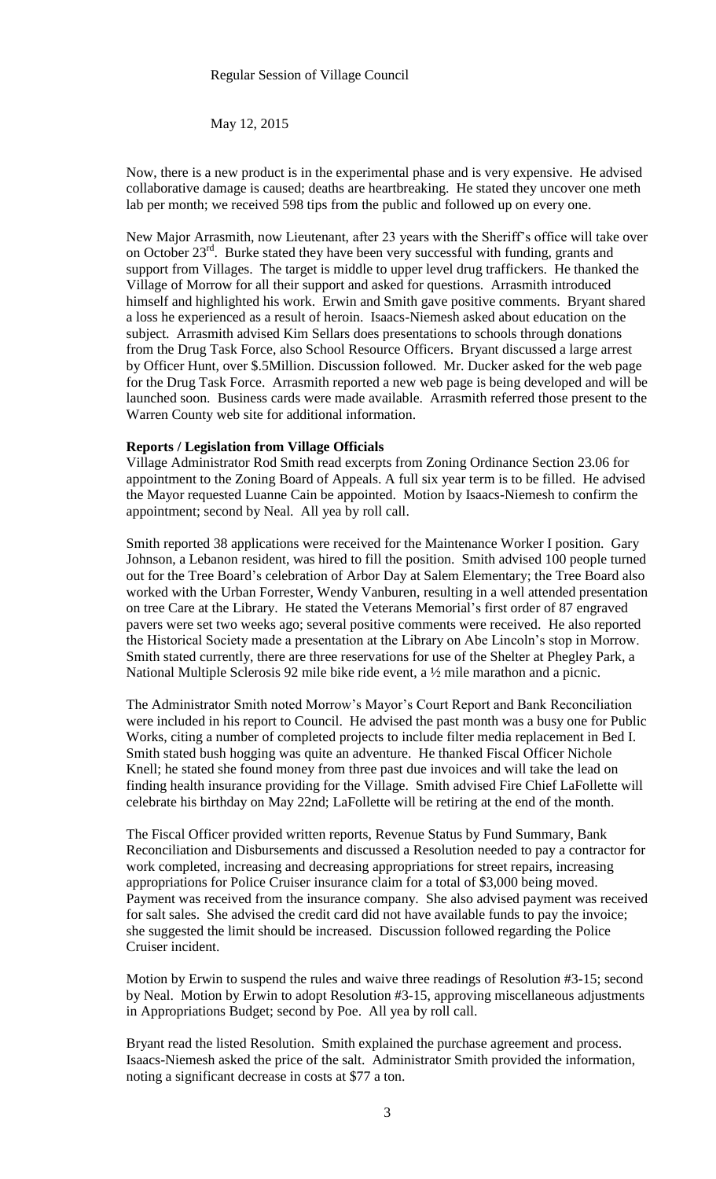#### Regular Session of Village Council

May 12, 2015

Now, there is a new product is in the experimental phase and is very expensive. He advised collaborative damage is caused; deaths are heartbreaking. He stated they uncover one meth lab per month; we received 598 tips from the public and followed up on every one.

New Major Arrasmith, now Lieutenant, after 23 years with the Sheriff's office will take over on October  $23<sup>rd</sup>$ . Burke stated they have been very successful with funding, grants and support from Villages. The target is middle to upper level drug traffickers. He thanked the Village of Morrow for all their support and asked for questions. Arrasmith introduced himself and highlighted his work. Erwin and Smith gave positive comments. Bryant shared a loss he experienced as a result of heroin. Isaacs-Niemesh asked about education on the subject. Arrasmith advised Kim Sellars does presentations to schools through donations from the Drug Task Force, also School Resource Officers. Bryant discussed a large arrest by Officer Hunt, over \$.5Million. Discussion followed. Mr. Ducker asked for the web page for the Drug Task Force. Arrasmith reported a new web page is being developed and will be launched soon. Business cards were made available. Arrasmith referred those present to the Warren County web site for additional information.

### **Reports / Legislation from Village Officials**

Village Administrator Rod Smith read excerpts from Zoning Ordinance Section 23.06 for appointment to the Zoning Board of Appeals. A full six year term is to be filled. He advised the Mayor requested Luanne Cain be appointed. Motion by Isaacs-Niemesh to confirm the appointment; second by Neal. All yea by roll call.

Smith reported 38 applications were received for the Maintenance Worker I position. Gary Johnson, a Lebanon resident, was hired to fill the position. Smith advised 100 people turned out for the Tree Board's celebration of Arbor Day at Salem Elementary; the Tree Board also worked with the Urban Forrester, Wendy Vanburen, resulting in a well attended presentation on tree Care at the Library. He stated the Veterans Memorial's first order of 87 engraved pavers were set two weeks ago; several positive comments were received. He also reported the Historical Society made a presentation at the Library on Abe Lincoln's stop in Morrow. Smith stated currently, there are three reservations for use of the Shelter at Phegley Park, a National Multiple Sclerosis 92 mile bike ride event, a ½ mile marathon and a picnic.

The Administrator Smith noted Morrow's Mayor's Court Report and Bank Reconciliation were included in his report to Council. He advised the past month was a busy one for Public Works, citing a number of completed projects to include filter media replacement in Bed I. Smith stated bush hogging was quite an adventure. He thanked Fiscal Officer Nichole Knell; he stated she found money from three past due invoices and will take the lead on finding health insurance providing for the Village. Smith advised Fire Chief LaFollette will celebrate his birthday on May 22nd; LaFollette will be retiring at the end of the month.

The Fiscal Officer provided written reports, Revenue Status by Fund Summary, Bank Reconciliation and Disbursements and discussed a Resolution needed to pay a contractor for work completed, increasing and decreasing appropriations for street repairs, increasing appropriations for Police Cruiser insurance claim for a total of \$3,000 being moved. Payment was received from the insurance company. She also advised payment was received for salt sales. She advised the credit card did not have available funds to pay the invoice; she suggested the limit should be increased. Discussion followed regarding the Police Cruiser incident.

Motion by Erwin to suspend the rules and waive three readings of Resolution #3-15; second by Neal. Motion by Erwin to adopt Resolution #3-15, approving miscellaneous adjustments in Appropriations Budget; second by Poe. All yea by roll call.

Bryant read the listed Resolution. Smith explained the purchase agreement and process. Isaacs-Niemesh asked the price of the salt. Administrator Smith provided the information, noting a significant decrease in costs at \$77 a ton.